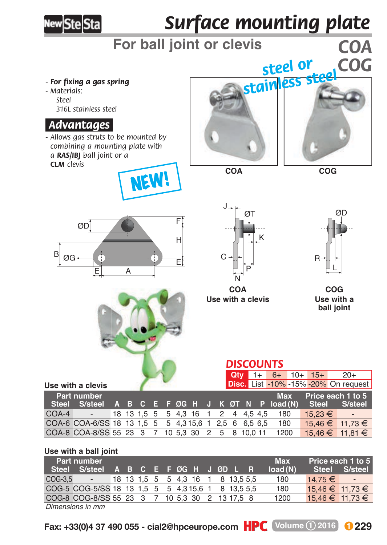

# *Surface mounting plate*

# **For ball joint or clevis** *COA*

*- For fixing a gas spring*

*- M aterials: Steel 316L stainless steel*

### *.Advantages.*

*- Allows gas struts to be mounted by combining a mounting plate with a RAS/IBJ ball joint or a CLM clevis*







**COA COG**





N **COA Use with a clevis Use with a** 

*DISCOUNTS*

**Qty** 1+ 6+ 10+ 15+ 20+ **Disc.** List -10% -15% -20% On request



**ball joint COG**



**Use with a clevis**

| Part number |                                                               |  |  |  |  |  | Max Price each 1 to 5 |  |                     |                          |
|-------------|---------------------------------------------------------------|--|--|--|--|--|-----------------------|--|---------------------|--------------------------|
|             | Steel S/steel A B C E F ØG H J K ØT N P load(N) Steel S/steel |  |  |  |  |  |                       |  |                     |                          |
|             | COA-4 - 18 13 1,5 5 5 4,3 16 1 2 4 4,5 4,5 180                |  |  |  |  |  |                       |  | $15.23 \in$         | $\overline{\phantom{a}}$ |
|             | COA-6 COA-6/SS 18 13 1.5 5 5 4.3 15.6 1 2.5 6 6.5 6.5 180     |  |  |  |  |  |                       |  | $15.46 \in$ 11.73 € |                          |
|             | COA-8 COA-8/SS 55 23 3 7 10 5,3 30 2 5 8 10,0 11 1200         |  |  |  |  |  |                       |  | $15,46 \in$ 11,81 € |                          |

#### **Use with a ball joint**

| Part number | A B C E FØG H J ØD L R                             |  |  |  |  |  |  | <b>Max</b> | Price each 1 to 5<br>Steel S/steel |         |                 |                          |
|-------------|----------------------------------------------------|--|--|--|--|--|--|------------|------------------------------------|---------|-----------------|--------------------------|
|             | Steel S/steel                                      |  |  |  |  |  |  |            |                                    | load(N) |                 |                          |
|             | COG-3,5 - 18 13 1,5 5 5 4,3 16 1 8 13,5 5,5        |  |  |  |  |  |  |            |                                    | 180     | $14.75 \in$     | $\overline{\phantom{a}}$ |
|             | COG-5 COG-5/SS 18 13 1.5 5 5 4.3 15.6 1 8 13.5 5.5 |  |  |  |  |  |  |            |                                    | 180     | 15.46 € 11.73 € |                          |
|             | COG-8 COG-8/SS 55 23 3 7 10 5.3 30 2 13 17.5 8     |  |  |  |  |  |  |            |                                    | 1200    | 15,46 € 11,73 € |                          |
|             | Dimensions in mm                                   |  |  |  |  |  |  |            |                                    |         |                 |                          |

*Dimensions in mm*